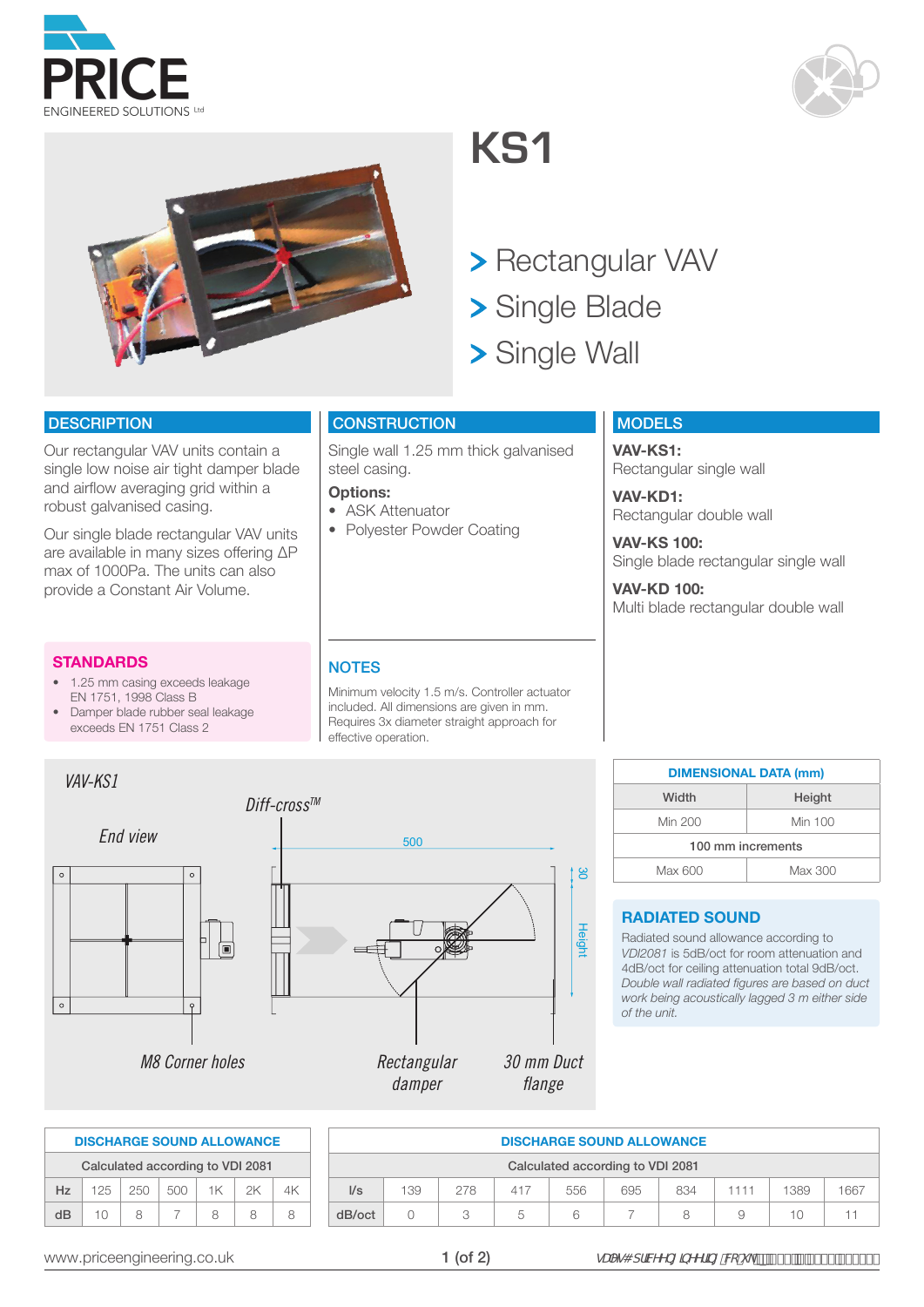



## **KS1**

- > Rectangular VAV
- > Single Blade
- > Single Wall

#### **DESCRIPTION**

Our rectangular VAV units contain a single low noise air tight damper blade and airflow averaging grid within a robust galvanised casing.

Our single blade rectangular VAV units are available in many sizes offering ΔP max of 1000Pa. The units can also provide a Constant Air Volume.

#### **STANDARDS**

- 1.25 mm casing exceeds leakage EN 1751, 1998 Class B
- Damper blade rubber seal leakage exceeds EN 1751 Class 2

#### **CONSTRUCTION**

Single wall 1.25 mm thick galvanised steel casing.

#### **Options:**

- ASK Attenuator
- Polyester Powder Coating

#### **MODELS**

**VAV-KS1:** Rectangular single wall

**VAV-KD1:** Rectangular double wall

**VAV-KS 100:** Single blade rectangular single wall

**VAV-KD 100:** Multi blade rectangular double wall

#### **NOTES**

Minimum velocity 1.5 m/s. Controller actuator included. All dimensions are given in mm. Requires 3x diameter straight approach for effective operation.

| VAV-KS1  |                        |             |               |
|----------|------------------------|-------------|---------------|
|          |                        | Diff-cross™ |               |
| End view |                        | 500         |               |
| $\circ$  | $\circ$                |             | <b>C</b>      |
|          | 口<br>$\boxed{=}$       |             | <b>Height</b> |
| $\circ$  | $\circ$                |             |               |
|          | <b>M8 Corner holes</b> | Rectangular | 30 mm Duct    |
|          |                        | damper      | flange        |

| <b>DIMENSIONAL DATA (mm)</b> |         |  |  |  |  |  |  |  |  |
|------------------------------|---------|--|--|--|--|--|--|--|--|
| Width                        | Height  |  |  |  |  |  |  |  |  |
| Min 200                      | Min 100 |  |  |  |  |  |  |  |  |
| 100 mm increments            |         |  |  |  |  |  |  |  |  |
| Max 600<br>Max 300           |         |  |  |  |  |  |  |  |  |

#### **RADIATED SOUND**

Radiated sound allowance according to *VDI2081* is 5dB/oct for room attenuation and 4dB/oct for ceiling attenuation total 9dB/oct. *Double wall radiated figures are based on duct work being acoustically lagged 3 m either side of the unit.*

|    |     |     |     |                                  | <b>DISCHARGE SOUND ALLOWANCE</b> |  |
|----|-----|-----|-----|----------------------------------|----------------------------------|--|
|    |     |     |     | Calculated according to VDI 2081 |                                  |  |
| Hz | 125 | 250 | 500 | 1K                               | 2K                               |  |
| dВ | 10  | Ω   |     |                                  | Ω                                |  |

| <b>DISCHARGE SOUND ALLOWANCE</b> |                  |     |     |     |     |     |      |      |      |  |  |
|----------------------------------|------------------|-----|-----|-----|-----|-----|------|------|------|--|--|
| Calculated according to VDI 2081 |                  |     |     |     |     |     |      |      |      |  |  |
| $\mathsf{U}\mathsf{s}$           | 139              | 278 | 417 | 556 | 695 | 834 | 1111 | 1389 | 1667 |  |  |
| dB/oct                           | $\left( \right)$ | 3   | 5   | 6   |     | 8   | 9    | 10   |      |  |  |

Height 30

Height

ပ္လ

1 (of 2)

www.priceengineering.co.uk  $\blacksquare$   $\blacksquare$   $\blacksquare$   $\blacksquare$   $\blacksquare$   $\blacksquare$   $\blacksquare$   $\blacksquare$   $\blacksquare$   $\blacksquare$   $\blacksquare$   $\blacksquare$   $\blacksquare$   $\blacksquare$   $\blacksquare$   $\blacksquare$   $\blacksquare$   $\blacksquare$   $\blacksquare$   $\blacksquare$   $\blacksquare$   $\blacksquare$   $\blacksquare$   $\blacksquare$   $\blacksquare$   $\blacksquare$   $\blacksquare$   $\blacksquare$